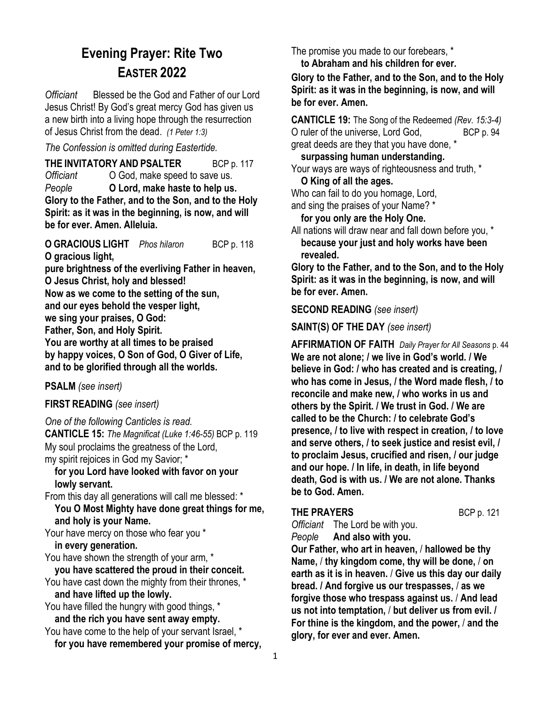# **Evening Prayer: Rite Two EASTER 2022**

*Officiant* Blessed be the God and Father of our Lord Jesus Christ! By God's great mercy God has given us a new birth into a living hope through the resurrection of Jesus Christ from the dead. *(1 Peter 1:3)*

*The Confession is omitted during Eastertide.*

**THE INVITATORY AND PSALTER** BCP p. 117 *Officiant* O God, make speed to save us. *People* **O Lord, make haste to help us. Glory to the Father, and to the Son, and to the Holy Spirit: as it was in the beginning, is now, and will be for ever. Amen. Alleluia.** 

**O GRACIOUS LIGHT** *Phos hilaron* BCP p. 118 **O gracious light, pure brightness of the everliving Father in heaven, O Jesus Christ, holy and blessed! Now as we come to the setting of the sun, and our eyes behold the vesper light, we sing your praises, O God: Father, Son, and Holy Spirit. You are worthy at all times to be praised by happy voices, O Son of God, O Giver of Life, and to be glorified through all the worlds.**

**PSALM** *(see insert)*

**FIRST READING** *(see insert)*

*One of the following Canticles is read.* **CANTICLE 15:** *The Magnificat (Luke 1:46-55)* BCP p. 119 My soul proclaims the greatness of the Lord, my spirit rejoices in God my Savior; \*

 **for you Lord have looked with favor on your lowly servant.**

From this day all generations will call me blessed: \* **You O Most Mighty have done great things for me, and holy is your Name.**

Your have mercy on those who fear you \*  **in every generation.**

You have shown the strength of your arm, \*

 **you have scattered the proud in their conceit.** You have cast down the mighty from their thrones, \* **and have lifted up the lowly.**

You have filled the hungry with good things, \* **and the rich you have sent away empty.**

You have come to the help of your servant Israel, \* **for you have remembered your promise of mercy,** The promise you made to our forebears, \*

 **to Abraham and his children for ever.**

**Glory to the Father, and to the Son, and to the Holy Spirit: as it was in the beginning, is now, and will be for ever. Amen.**

**CANTICLE 19:** The Song of the Redeemed *(Rev. 15:3-4)*  O ruler of the universe, Lord God, BCP p. 94 great deeds are they that you have done, \*

# **surpassing human understanding.**

Your ways are ways of righteousness and truth, \*

### **O King of all the ages.**

Who can fail to do you homage, Lord, and sing the praises of your Name? \*

**for you only are the Holy One.**

All nations will draw near and fall down before you, \* **because your just and holy works have been revealed.**

**Glory to the Father, and to the Son, and to the Holy Spirit: as it was in the beginning, is now, and will be for ever. Amen.**

**SECOND READING** *(see insert)*

**SAINT(S) OF THE DAY** *(see insert)*

**AFFIRMATION OF FAITH** *Daily Prayer for All Seasons* p. 44 **We are not alone; / we live in God's world. / We believe in God: / who has created and is creating, / who has come in Jesus, / the Word made flesh, / to reconcile and make new, / who works in us and others by the Spirit. / We trust in God. / We are called to be the Church: / to celebrate God's presence, / to live with respect in creation, / to love and serve others, / to seek justice and resist evil, / to proclaim Jesus, crucified and risen, / our judge and our hope. / In life, in death, in life beyond death, God is with us. / We are not alone. Thanks be to God. Amen.**

### **THE PRAYERS** BCP p. 121

*Officiant*The Lord be with you.

*People* **And also with you.** 

**Our Father, who art in heaven,** / **hallowed be thy Name,** / **thy kingdom come, thy will be done,** / **on earth as it is in heaven.** / **Give us this day our daily bread. / And forgive us our trespasses,** / **as we forgive those who trespass against us.** / **And lead us not into temptation,** / **but deliver us from evil. / For thine is the kingdom, and the power,** / **and the glory, for ever and ever. Amen.**